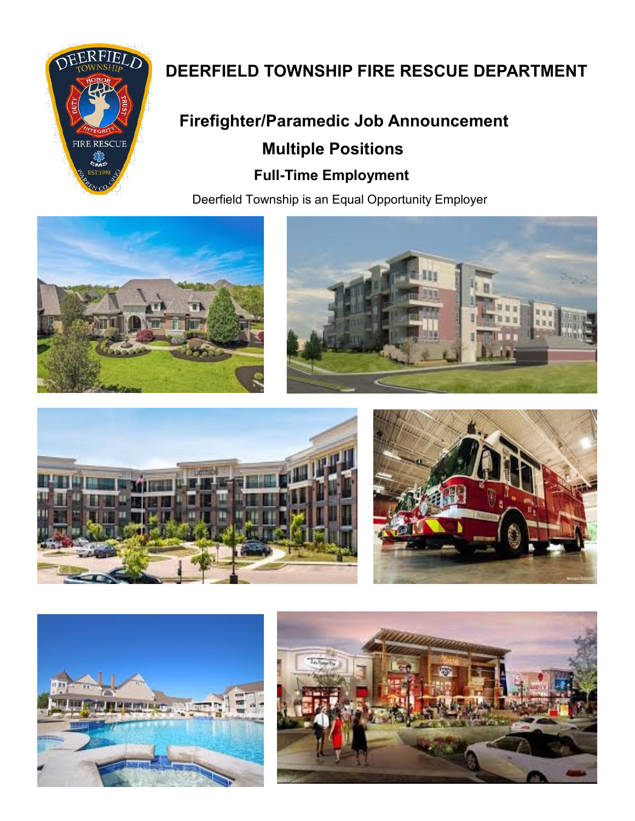

# **DEERFIELD TOWNSHIP FIRE RESCUE DEPARTMENT**

# **Firefighter/Paramedic Job Announcement Multiple Positions Full-Time Employment**

Deerfield Township is an Equal Opportunity Employer











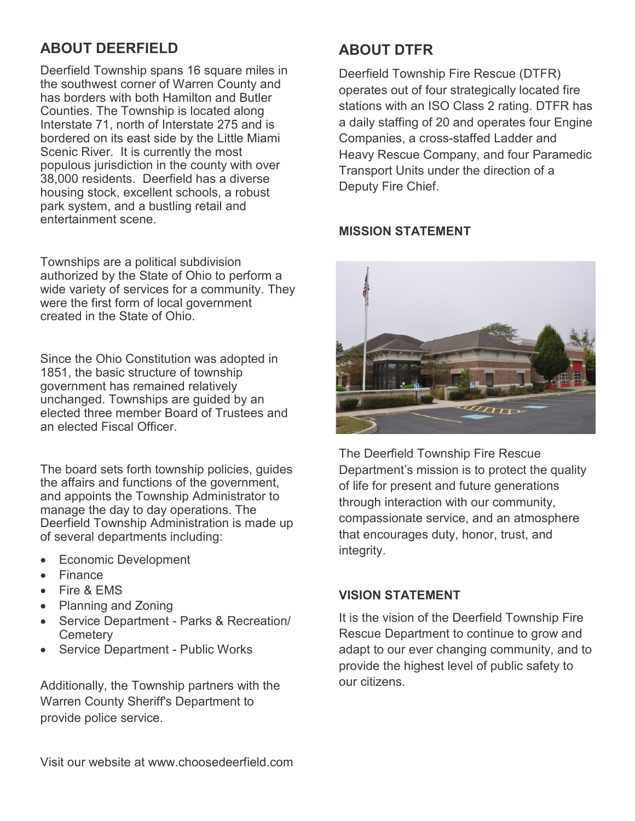# **ABOUT DEERFIELD**

Deerfield Township spans 16 square miles in the southwest corner of Warren County and has borders with both Hamilton and Butler Counties. The Township is located along Interstate 71, north of Interstate 275 and is bordered on its east side by the Little Miami Scenic River. It is currently the most populous jurisdiction in the county with over 38,000 residents. Deerfield has a diverse housing stock, excellent schools, a robust park system, and a bustling retail and entertainment scene.

Townships are a political subdivision authorized by the State of Ohio to perform a wide variety of services for a community. They were the first form of local government created in the State of Ohio.

Since the Ohio Constitution was adopted in 1851, the basic structure of township government has remained relatively unchanged. Townships are guided by an elected three member Board of Trustees and an elected Fiscal Officer.

The board sets forth township policies, guides the affairs and functions of the government, and appoints the Township Administrator to manage the day to day operations. The Deerfield Township Administration is made up of several departments including:

- Economic Development
- **Finance**
- Fire & EMS
- Planning and Zoning
- Service Department Parks & Recreation/ **Cemetery**
- Service Department Public Works

Additionally, the Township partners with the Warren County Sheriff's Department to provide police service.

# **ABOUT DTFR**

Deerfield Township Fire Rescue (DTFR) operates out of four strategically located fire stations with an ISO Class 2 rating. DTFR has a daily staffing of 20 and operates four Engine Companies, a cross-staffed Ladder and Heavy Rescue Company, and four Paramedic Transport Units under the direction of a Deputy Fire Chief.

# **MISSION STATEMENT**



The Deerfield Township Fire Rescue Department's mission is to protect the quality of life for present and future generations through interaction with our community, compassionate service, and an atmosphere that encourages duty, honor, trust, and integrity.

# **VISION STATEMENT**

It is the vision of the Deerfield Township Fire Rescue Department to continue to grow and adapt to our ever changing community, and to provide the highest level of public safety to our citizens.

Visit our website at www.choosedeerfield.com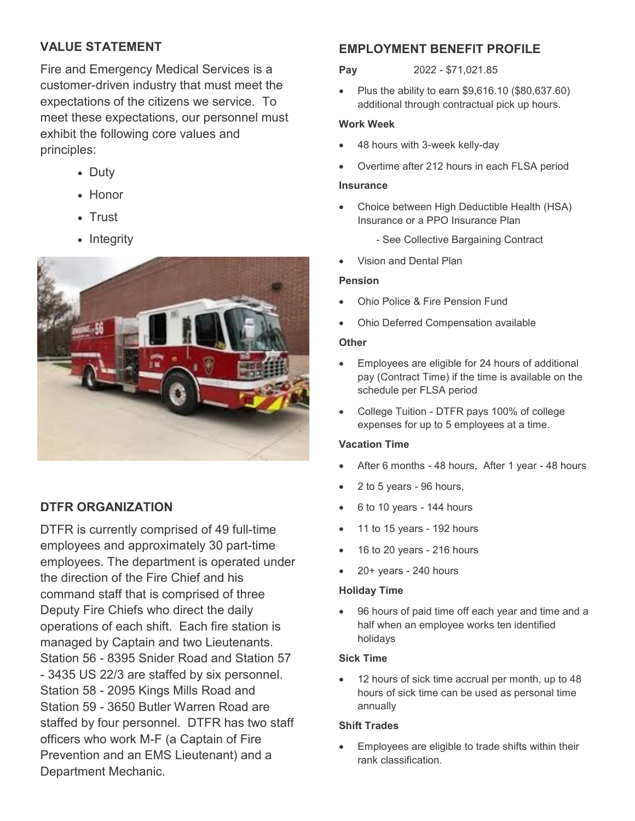# **VALUE STATEMENT**

Fire and Emergency Medical Services is a customer-driven industry that must meet the expectations of the citizens we service. To meet these expectations, our personnel must exhibit the following core values and principles:

- Duty
- Honor
- Trust
- Integrity



# **DTFR ORGANIZATION**

DTFR is currently comprised of 49 full-time employees and approximately 30 part-time employees. The department is operated under the direction of the Fire Chief and his command staff that is comprised of three Deputy Fire Chiefs who direct the daily operations of each shift. Each fire station is managed by Captain and two Lieutenants. Station 56 - 8395 Snider Road and Station 57 - 3435 US 22/3 are staffed by six personnel. Station 58 - 2095 Kings Mills Road and Station 59 - 3650 Butler Warren Road are staffed by four personnel. DTFR has two staff officers who work M-F (a Captain of Fire Prevention and an EMS Lieutenant) and a Department Mechanic.

# **EMPLOYMENT BENEFIT PROFILE**

#### **Pay** 2022 - \$71,021.85

• Plus the ability to earn  $$9,616.10$  (\$80,637.60) additional through contractual pick up hours.

#### **Work Week**

- 48 hours with 3-week kelly-day
- Overtime after 212 hours in each FLSA period

#### **Insurance**

- Choice between High Deductible Health (HSA) Insurance or a PPO Insurance Plan
	- See Collective Bargaining Contract
- Vision and Dental Plan

#### **Pension**

- Ohio Police & Fire Pension Fund
- Ohio Deferred Compensation available

#### **Other**

- Employees are eligible for 24 hours of additional pay (Contract Time) if the time is available on the schedule per FLSA period
- College Tuition DTFR pays 100% of college expenses for up to 5 employees at a time.

#### **Vacation Time**

- After 6 months 48 hours, After 1 year 48 hours
- 2 to 5 years 96 hours,
- 6 to 10 years 144 hours
- 11 to 15 years 192 hours
- 16 to 20 years 216 hours
- 20+ years 240 hours

#### **Holiday Time**

 96 hours of paid time off each year and time and a half when an employee works ten identified holidays

#### **Sick Time**

 12 hours of sick time accrual per month, up to 48 hours of sick time can be used as personal time annually

#### **Shift Trades**

 Employees are eligible to trade shifts within their rank classification.